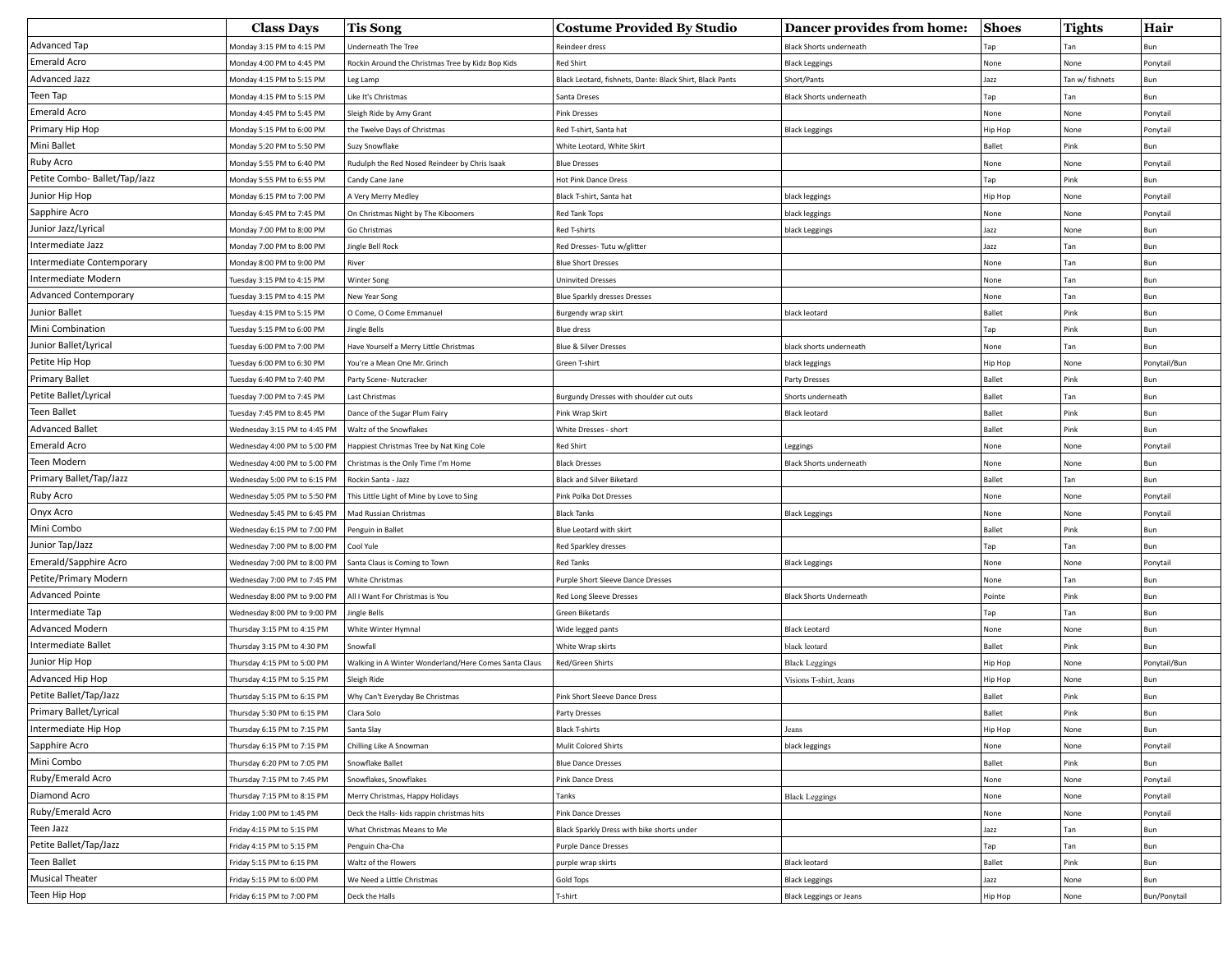|                               | <b>Class Days</b>            | <b>Tis Song</b>                                       | <b>Costume Provided By Studio</b>                        | Dancer provides from home:     | <b>Shoes</b>  | <b>Tights</b>   | Hair         |
|-------------------------------|------------------------------|-------------------------------------------------------|----------------------------------------------------------|--------------------------------|---------------|-----------------|--------------|
| Advanced Tap                  | Monday 3:15 PM to 4:15 PM    | Underneath The Tree                                   | Reindeer dress                                           | <b>Black Shorts underneath</b> | Tap           |                 |              |
| Emerald Acro                  | Monday 4:00 PM to 4:45 PM    | Rockin Around the Christmas Tree by Kidz Bop Kids     | <b>Red Shirt</b>                                         | <b>Black Leggings</b>          | None          | None            | Ponytail     |
| Advanced Jazz                 | Monday 4:15 PM to 5:15 PM    | Leg Lamp                                              | Black Leotard, fishnets, Dante: Black Shirt, Black Pants | Short/Pants                    | Jazz          | Tan w/ fishnets | Bun          |
| Teen Tap                      | Monday 4:15 PM to 5:15 PM    | Like It's Christmas                                   | Santa Dreses                                             | <b>Black Shorts underneath</b> | Tap           | Tan             | Bun          |
| Emerald Acro                  | Monday 4:45 PM to 5:45 PM    | Sleigh Ride by Amy Grant                              | <b>Pink Dresses</b>                                      |                                | None          | None            | Ponytail     |
| Primary Hip Hop               | Monday 5:15 PM to 6:00 PM    | the Twelve Days of Christmas                          | Red T-shirt, Santa hat                                   | <b>Black Leggings</b>          | Hip Hop       | None            | Ponytail     |
| Mini Ballet                   | Monday 5:20 PM to 5:50 PM    | Suzy Snowflake                                        | White Leotard, White Skirt                               |                                | Ballet        | Pink            | Bun          |
| Ruby Acro                     | Monday 5:55 PM to 6:40 PM    | Rudulph the Red Nosed Reindeer by Chris Isaak         | <b>Blue Dresses</b>                                      |                                | None          | None            | Ponytail     |
| Petite Combo- Ballet/Tap/Jazz | Monday 5:55 PM to 6:55 PM    | Candy Cane Jane                                       | Hot Pink Dance Dress                                     |                                | Tap           | Pink            | Bun          |
| Junior Hip Hop                | Monday 6:15 PM to 7:00 PM    | A Very Merry Medley                                   | Black T-shirt, Santa hat                                 | black leggings                 | Нір Нор       | None            | Ponytail     |
| Sapphire Acro                 | Monday 6:45 PM to 7:45 PM    | On Christmas Night by The Kiboomers                   | <b>Red Tank Tops</b>                                     | black leggings                 | None          | None            | Ponytail     |
| Junior Jazz/Lyrical           | Monday 7:00 PM to 8:00 PM    | Go Christmas                                          | Red T-shirts                                             | black Leggings                 | Jazz          | None            | Bun          |
| Intermediate Jazz             | Monday 7:00 PM to 8:00 PM    | Jingle Bell Rock                                      | Red Dresses- Tutu w/glitter                              |                                | Jazz          | Tan             | Bun          |
| Intermediate Contemporary     | Monday 8:00 PM to 9:00 PM    | River                                                 | <b>Blue Short Dresses</b>                                |                                | None          | Tan             | Bun          |
| Intermediate Modern           | Tuesday 3:15 PM to 4:15 PM   | Winter Song                                           | <b>Uninvited Dresses</b>                                 |                                | None          | Tan             | Bun          |
| <b>Advanced Contemporary</b>  | Tuesday 3:15 PM to 4:15 PM   | New Year Song                                         | Blue Sparkly dresses Dresses                             |                                | None          | Tan             | Bun          |
| Junior Ballet                 | Tuesday 4:15 PM to 5:15 PM   | O Come, O Come Emmanuel                               | Burgendy wrap skirt                                      | black leotard                  | <b>Ballet</b> | Pink            | Bun          |
| Mini Combination              | Tuesday 5:15 PM to 6:00 PM   | Jingle Bells                                          | <b>Blue dress</b>                                        |                                | Tap           | Pink            | Bun          |
| Junior Ballet/Lyrical         | uesday 6:00 PM to 7:00 PM    | Have Yourself a Merry Little Christmas                | <b>Blue &amp; Silver Dresses</b>                         | black shorts underneath        | None          | Tan             | Bun          |
| Petite Hip Hop                | Tuesday 6:00 PM to 6:30 PM   | You're a Mean One Mr. Grinch                          | Green T-shirt                                            | black leggings                 | Hip Hop       | None            | Ponytail/Bun |
| <b>Primary Ballet</b>         | Tuesday 6:40 PM to 7:40 PM   | Party Scene- Nutcracker                               |                                                          | Party Dresses                  | <b>Ballet</b> | Pink            | Bun          |
| Petite Ballet/Lyrical         | Tuesday 7:00 PM to 7:45 PM   | Last Christmas                                        | Burgundy Dresses with shoulder cut outs                  | Shorts underneath              | <b>Ballet</b> | Tan             | Bun          |
| Teen Ballet                   | Tuesday 7:45 PM to 8:45 PM   | Dance of the Sugar Plum Fairy                         | Pink Wrap Skirt                                          | <b>Black leotard</b>           | <b>Ballet</b> | Pink            | Bun          |
| <b>Advanced Ballet</b>        | Wednesday 3:15 PM to 4:45 PM | Waltz of the Snowflakes                               | White Dresses - short                                    |                                | <b>Ballet</b> | Pink            | Bun          |
| Emerald Acro                  | Wednesday 4:00 PM to 5:00 PM | Happiest Christmas Tree by Nat King Cole              | <b>Red Shirt</b>                                         | Leggings                       | None          | None            | Ponytail     |
| Teen Modern                   | Wednesday 4:00 PM to 5:00 PM | Christmas is the Only Time I'm Home                   | <b>Black Dresses</b>                                     | <b>Black Shorts underneath</b> | None          | None            | Bun          |
| Primary Ballet/Tap/Jazz       | Wednesday 5:00 PM to 6:15 PM | Rockin Santa - Jazz                                   | <b>Black and Silver Biketard</b>                         |                                | Ballet        | Tan             | Bun          |
| Ruby Acro                     | Wednesday 5:05 PM to 5:50 PM | This Little Light of Mine by Love to Sing             | Pink Polka Dot Dresses                                   |                                | None          | None            | Ponytail     |
| Onyx Acro                     | Wednesday 5:45 PM to 6:45 PM | Mad Russian Christmas                                 | <b>Black Tanks</b>                                       | <b>Black Leggings</b>          | None          | None            | Ponytail     |
| Mini Combo                    | Wednesday 6:15 PM to 7:00 PM | Penguin in Ballet                                     | Blue Leotard with skirt                                  |                                | <b>Ballet</b> | Pink            | Bun          |
| Junior Tap/Jazz               | Wednesday 7:00 PM to 8:00 PM | Cool Yule                                             | Red Sparkley dresses                                     |                                | Tap           | Tan             | Bun          |
| Emerald/Sapphire Acro         | Wednesday 7:00 PM to 8:00 PM | Santa Claus is Coming to Town                         | <b>Red Tanks</b>                                         | <b>Black Leggings</b>          | None          | None            | Ponytail     |
| Petite/Primary Modern         | Wednesday 7:00 PM to 7:45 PM | White Christmas                                       | Purple Short Sleeve Dance Dresses                        |                                | None          | Tan             | Bun          |
| <b>Advanced Pointe</b>        | Wednesday 8:00 PM to 9:00 PM | All I Want For Christmas is You                       | Red Long Sleeve Dresses                                  | <b>Black Shorts Underneath</b> | Pointe        | Pink            | Bun          |
| Intermediate Tap              | Wednesday 8:00 PM to 9:00 PM | Jingle Bells                                          | Green Biketards                                          |                                | Tap           | Tan             | Bun          |
| Advanced Modern               | Thursday 3:15 PM to 4:15 PM  | White Winter Hymnal                                   | Wide legged pants                                        | <b>Black Leotard</b>           | None          | None            | Bun          |
| Intermediate Ballet           | Thursday 3:15 PM to 4:30 PM  | Snowfall                                              | White Wrap skirts                                        | black leotard                  | <b>Ballet</b> | Pink            | Bun          |
| Junior Hip Hop                | Thursday 4:15 PM to 5:00 PM  | Walking in A Winter Wonderland/Here Comes Santa Claus | Red/Green Shirts                                         | <b>Black Leggings</b>          | Нір Нор       | None            | Ponytail/Bun |
| Advanced Hip Hop              | Thursday 4:15 PM to 5:15 PM  | Sleigh Ride                                           |                                                          | Visions T-shirt, Jeans         | Нір Нор       | None            | Bun          |
| Petite Ballet/Tap/Jazz        | Thursday 5:15 PM to 6:15 PM  | Why Can't Everyday Be Christmas                       | Pink Short Sleeve Dance Dress                            |                                | <b>Ballet</b> | Pink            | Bun          |
| Primary Ballet/Lyrical        | Thursday 5:30 PM to 6:15 PM  | Clara Solo                                            | Party Dresses                                            |                                | Ballet        | Pink            | Bun          |
| Intermediate Hip Hop          | Thursday 6:15 PM to 7:15 PM  | Santa Slay                                            | <b>Black T-shirts</b>                                    | Jeans                          | Hip Hop       | None            | Bun          |
| Sapphire Acro                 | Thursday 6:15 PM to 7:15 PM  | Chilling Like A Snowman                               | Mulit Colored Shirts                                     | black leggings                 | None          | None            | Ponytail     |
| Mini Combo                    | Thursday 6:20 PM to 7:05 PM  | Snowflake Ballet                                      | <b>Blue Dance Dresses</b>                                |                                | <b>Ballet</b> | Pink            | Bun          |
| Ruby/Emerald Acro             | Thursday 7:15 PM to 7:45 PM  | Snowflakes, Snowflakes                                | Pink Dance Dress                                         |                                | None          | None            | Ponytail     |
| Diamond Acro                  | Thursday 7:15 PM to 8:15 PM  | Merry Christmas, Happy Holidays                       | Tanks                                                    | <b>Black Leggings</b>          | None          | None            | Ponytail     |
| Ruby/Emerald Acro             | Friday 1:00 PM to 1:45 PM    | Deck the Halls- kids rappin christmas hits            | <b>Pink Dance Dresses</b>                                |                                | None          | None            | Ponytail     |
| Teen Jazz                     | Friday 4:15 PM to 5:15 PM    | What Christmas Means to Me                            | Black Sparkly Dress with bike shorts under               |                                | Jazz          | Tan             | Bun          |
| Petite Ballet/Tap/Jazz        | Friday 4:15 PM to 5:15 PM    | Penguin Cha-Cha                                       | <b>Purple Dance Dresses</b>                              |                                | Tap           | Tan             | Bun          |
| Teen Ballet                   | Friday 5:15 PM to 6:15 PM    | Waltz of the Flowers                                  | purple wrap skirts                                       | <b>Black leotard</b>           | <b>Ballet</b> | Pink            | Bun          |
| <b>Musical Theater</b>        | Friday 5:15 PM to 6:00 PM    | We Need a Little Christmas                            | Gold Tops                                                | <b>Black Leggings</b>          | Jazz          | None            | Bun          |
| Teen Hip Hop                  | Friday 6:15 PM to 7:00 PM    | Deck the Halls                                        | T-shirt                                                  | <b>Black Leggings or Jeans</b> | Hip Hop       | None            | Bun/Ponytail |